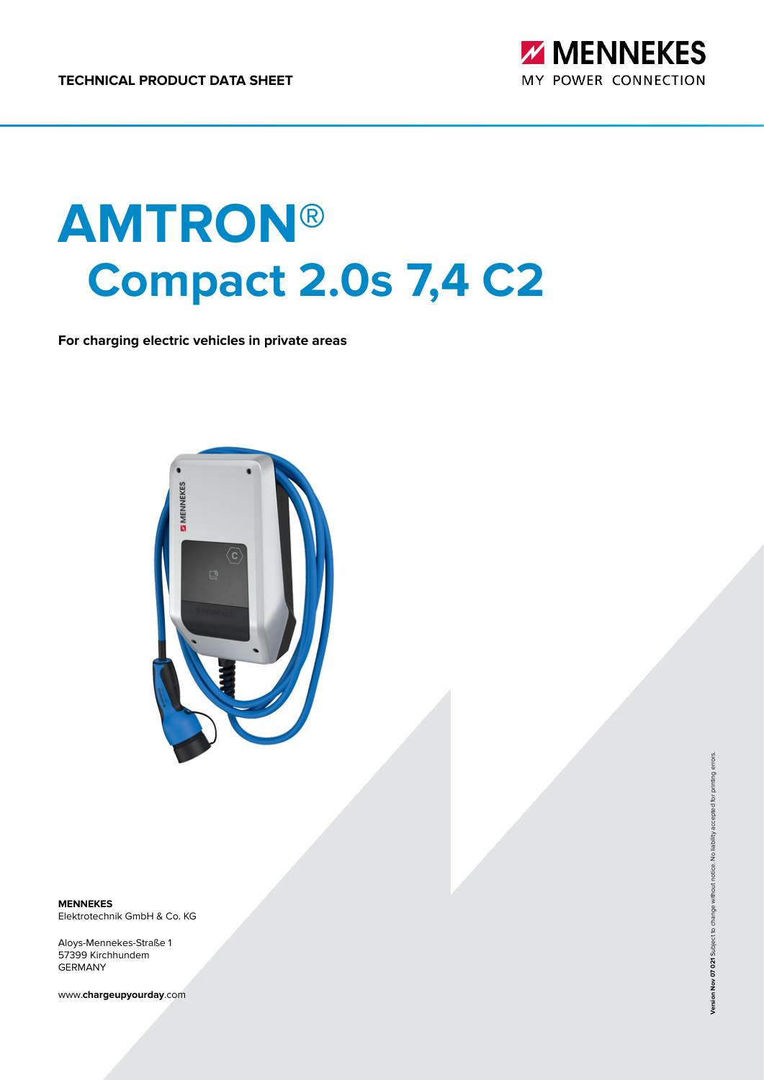

# **AMTRON® Compact 2.0s 7,4 C2**

**For charging electric vehicles in private areas**



**MENNEKES** Elektrotechnik GmbH & Co. KG

Aloys-Mennekes-Straße 1 57399 Kirchhundem GERMANY

www.**chargeupyourday**.com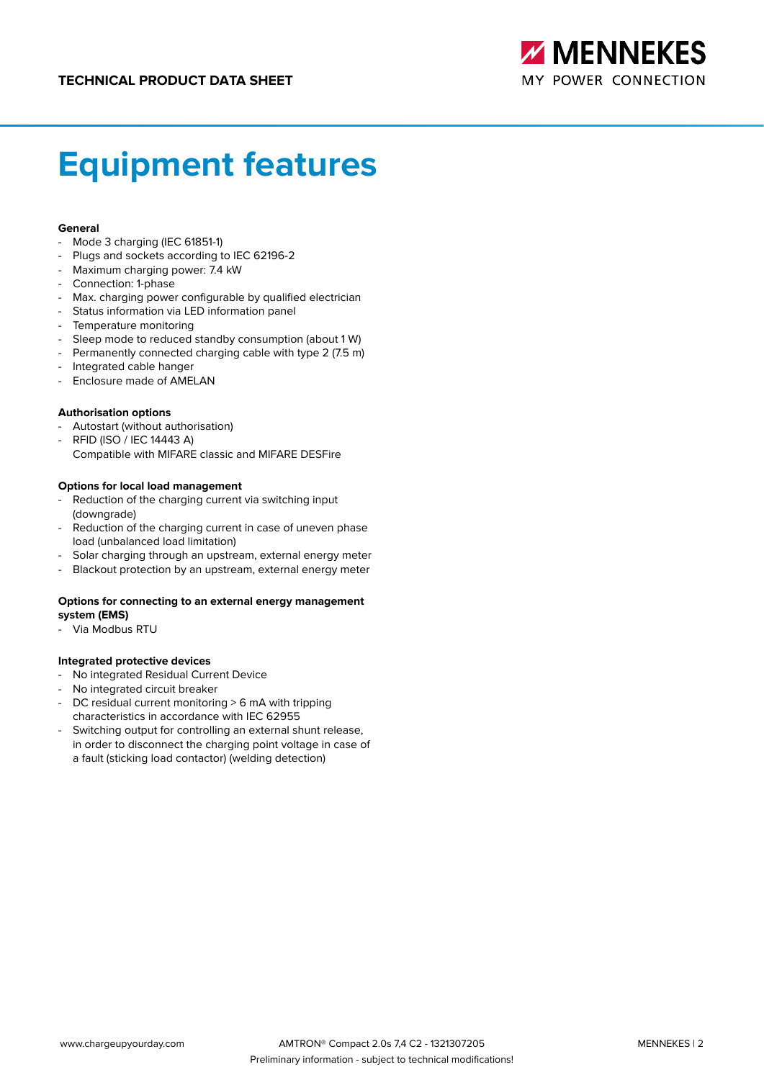

# **Equipment features**

#### **General**

- Mode 3 charging (IEC 61851-1)
- Plugs and sockets according to IEC 62196-2
- Maximum charging power: 7.4 kW
- Connection: 1-phase
- Max. charging power configurable by qualified electrician
- Status information via LED information panel
- Temperature monitoring
- Sleep mode to reduced standby consumption (about 1 W)
- Permanently connected charging cable with type 2 (7.5 m)
- Integrated cable hanger
- Enclosure made of AMELAN

#### **Authorisation options**

- Autostart (without authorisation)
- RFID (ISO / IEC 14443 A) Compatible with MIFARE classic and MIFARE DESFire

#### **Options for local load management**

- Reduction of the charging current via switching input (downgrade)
- Reduction of the charging current in case of uneven phase load (unbalanced load limitation)
- Solar charging through an upstream, external energy meter
- Blackout protection by an upstream, external energy meter

#### **Options for connecting to an external energy management system (EMS)**

Via Modbus RTU

#### **Integrated protective devices**

- No integrated Residual Current Device
- No integrated circuit breaker
- DC residual current monitoring > 6 mA with tripping characteristics in accordance with IEC 62955
- Switching output for controlling an external shunt release, in order to disconnect the charging point voltage in case of a fault (sticking load contactor) (welding detection)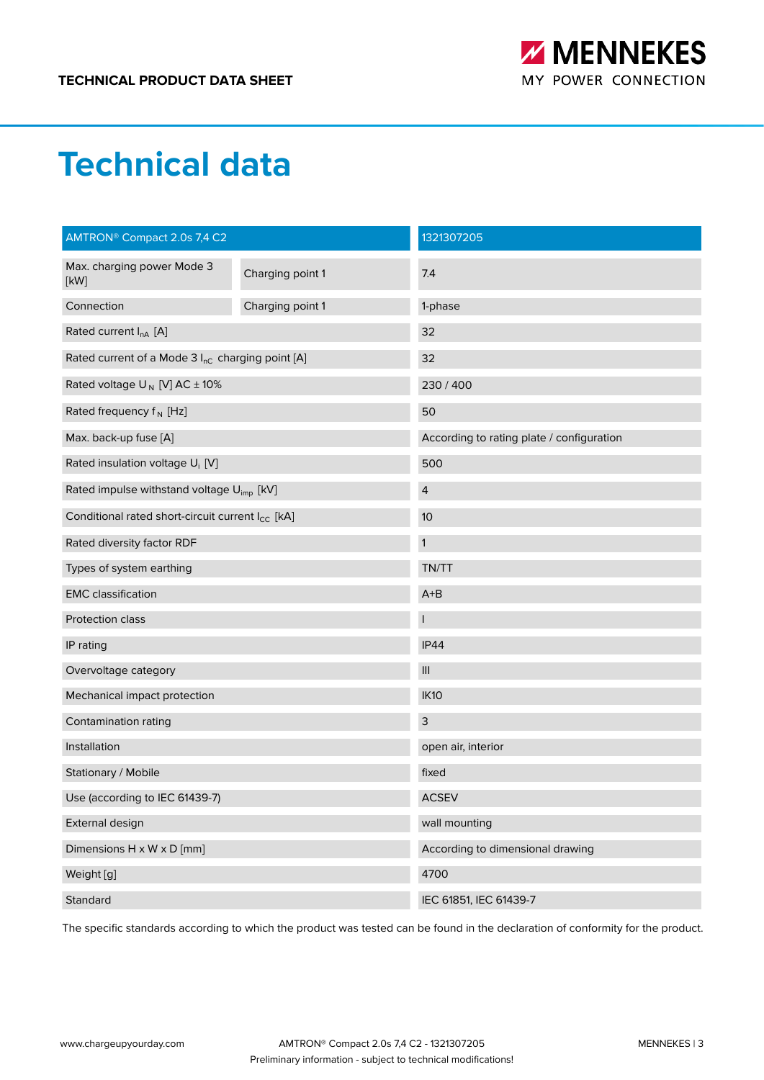

### **Technical data**

| AMTRON <sup>®</sup> Compact 2.0s 7,4 C2                      |                  | 1321307205                                |  |
|--------------------------------------------------------------|------------------|-------------------------------------------|--|
| Max. charging power Mode 3<br>[kW]                           | Charging point 1 | 7.4                                       |  |
| Connection                                                   | Charging point 1 | 1-phase                                   |  |
| Rated current $I_{nA}$ [A]                                   |                  | 32                                        |  |
| Rated current of a Mode 3 I <sub>nC</sub> charging point [A] |                  | 32                                        |  |
| Rated voltage $U_N$ [V] AC $\pm$ 10%                         |                  | 230 / 400                                 |  |
| Rated frequency $f_N$ [Hz]                                   |                  | 50                                        |  |
| Max. back-up fuse [A]                                        |                  | According to rating plate / configuration |  |
| Rated insulation voltage U <sub>i</sub> [V]                  |                  | 500                                       |  |
| Rated impulse withstand voltage U <sub>imp</sub> [kV]        |                  | $\overline{4}$                            |  |
| Conditional rated short-circuit current I <sub>CC</sub> [kA] |                  | 10                                        |  |
| Rated diversity factor RDF                                   |                  | $\mathbf{1}$                              |  |
| Types of system earthing                                     |                  | TN/TT                                     |  |
| <b>EMC</b> classification                                    |                  | $A+B$                                     |  |
| Protection class                                             |                  |                                           |  |
| IP rating                                                    |                  | <b>IP44</b>                               |  |
| Overvoltage category                                         |                  | $\ensuremath{\mathsf{III}}\xspace$        |  |
| Mechanical impact protection                                 |                  | <b>IK10</b>                               |  |
| Contamination rating                                         |                  | $\mathsf{3}$                              |  |
| Installation                                                 |                  | open air, interior                        |  |
| Stationary / Mobile                                          |                  | fixed                                     |  |
| Use (according to IEC 61439-7)                               |                  | <b>ACSEV</b>                              |  |
| External design                                              |                  | wall mounting                             |  |
| Dimensions H x W x D [mm]                                    |                  | According to dimensional drawing          |  |
| Weight [g]                                                   |                  | 4700                                      |  |
| Standard                                                     |                  | IEC 61851, IEC 61439-7                    |  |

The specific standards according to which the product was tested can be found in the declaration of conformity for the product.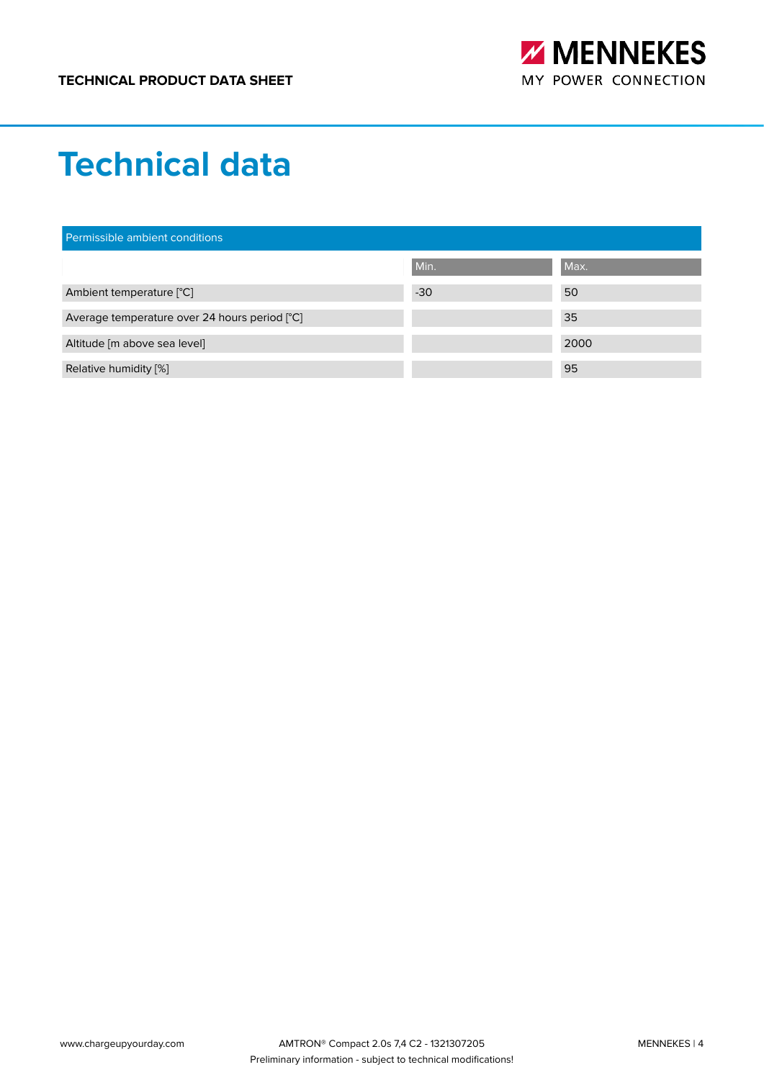

### **Technical data**

| Permissible ambient conditions                |       |      |  |
|-----------------------------------------------|-------|------|--|
|                                               | Min.  | Max. |  |
| Ambient temperature [°C]                      | $-30$ | 50   |  |
| Average temperature over 24 hours period [°C] |       | 35   |  |
| Altitude [m above sea level]                  |       | 2000 |  |
| Relative humidity [%]                         |       | 95   |  |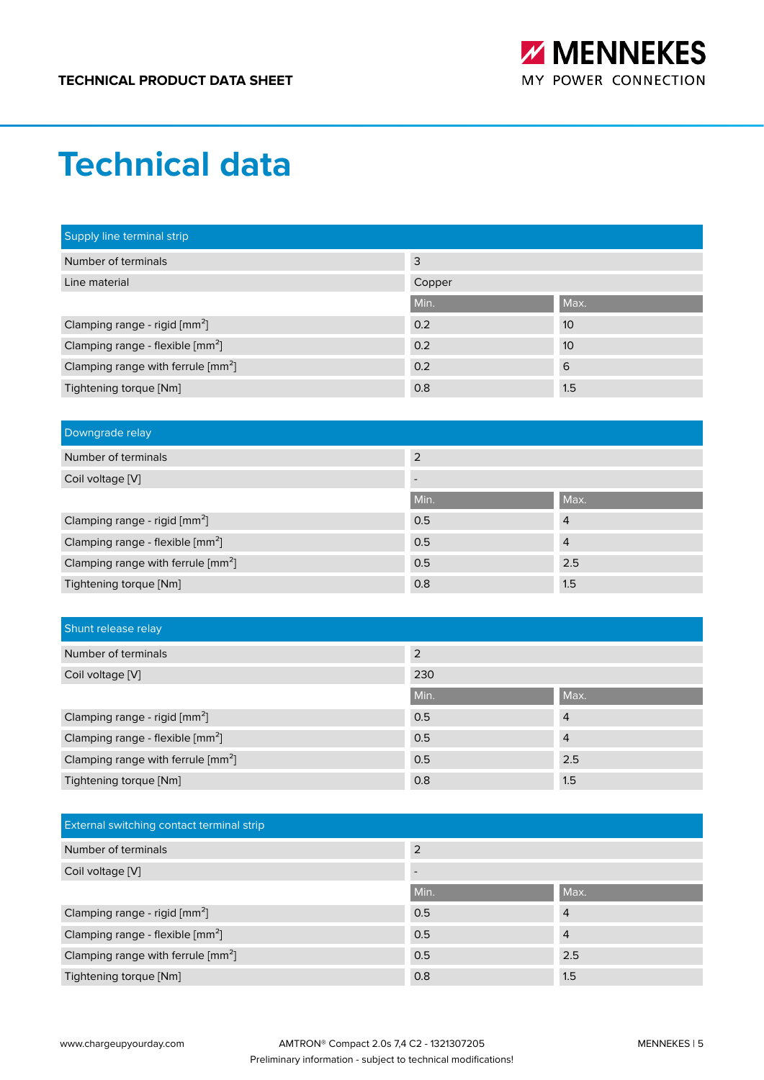

### **Technical data**

| Supply line terminal strip                        |        |      |
|---------------------------------------------------|--------|------|
| Number of terminals                               | 3      |      |
| Line material                                     | Copper |      |
|                                                   | Min.   | Max. |
| Clamping range - rigid [mm <sup>2</sup> ]         | 0.2    | 10   |
| Clamping range - flexible [mm <sup>2</sup> ]      | 0.2    | 10   |
| Clamping range with ferrule $\left[mm^{2}\right]$ | 0.2    | 6    |
| Tightening torque [Nm]                            | 0.8    | 1.5  |

| Downgrade relay                                |                          |                |
|------------------------------------------------|--------------------------|----------------|
| Number of terminals                            | 2                        |                |
| Coil voltage [V]                               | $\overline{\phantom{0}}$ |                |
|                                                | Min.                     | Max.           |
| Clamping range - rigid [mm <sup>2</sup> ]      | 0.5                      | $\overline{4}$ |
| Clamping range - flexible [mm <sup>2</sup> ]   | 0.5                      | $\overline{4}$ |
| Clamping range with ferrule [mm <sup>2</sup> ] | 0.5                      | 2.5            |
| Tightening torque [Nm]                         | 0.8                      | 1.5            |

| Shunt release relay                            |      |                |
|------------------------------------------------|------|----------------|
| Number of terminals                            | 2    |                |
| Coil voltage [V]                               | 230  |                |
|                                                | Min. | Max.           |
| Clamping range - rigid [mm <sup>2</sup> ]      | 0.5  | $\overline{4}$ |
| Clamping range - flexible [mm <sup>2</sup> ]   | 0.5  | $\overline{4}$ |
| Clamping range with ferrule [mm <sup>2</sup> ] | 0.5  | 2.5            |
| Tightening torque [Nm]                         | 0.8  | 1.5            |

| <b>External switching contact terminal strip</b> |      |                |
|--------------------------------------------------|------|----------------|
| Number of terminals                              | 2    |                |
| Coil voltage [V]                                 |      |                |
|                                                  | Min. | Max.           |
| Clamping range - rigid [mm <sup>2</sup> ]        | 0.5  | $\overline{4}$ |
| Clamping range - flexible [mm <sup>2</sup> ]     | 0.5  | $\overline{4}$ |
| Clamping range with ferrule [mm <sup>2</sup> ]   | 0.5  | 2.5            |
| Tightening torque [Nm]                           | 0.8  | 1.5            |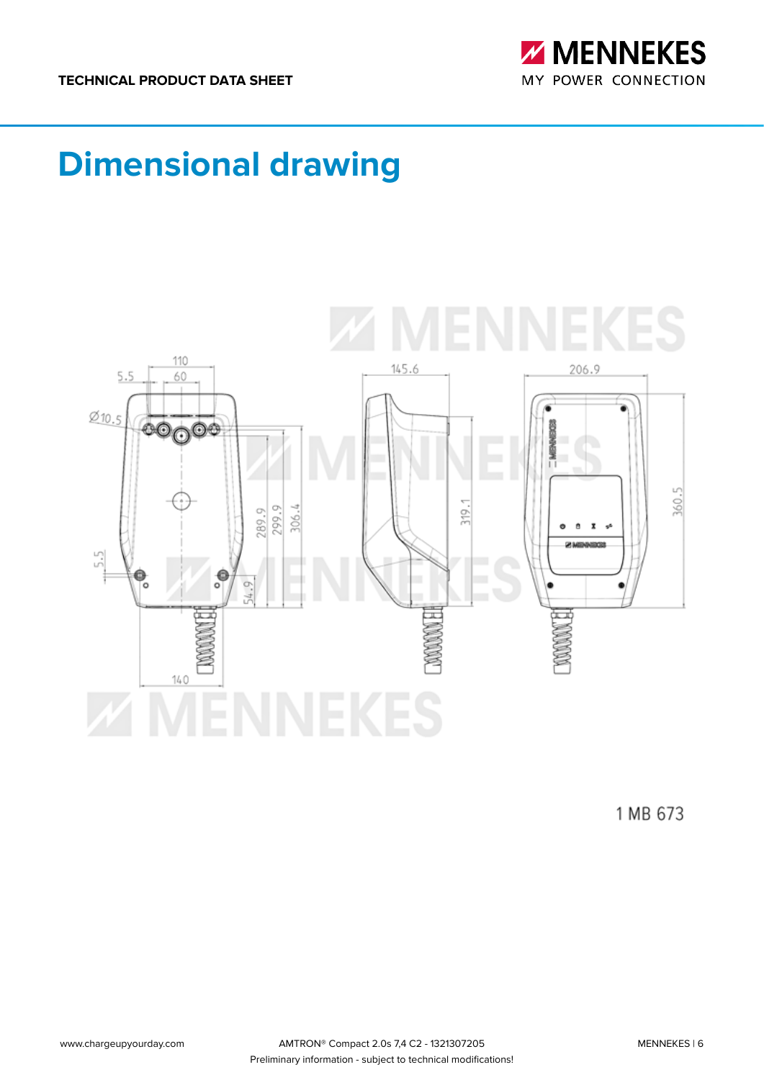

# **Dimensional drawing**



1 MB 673